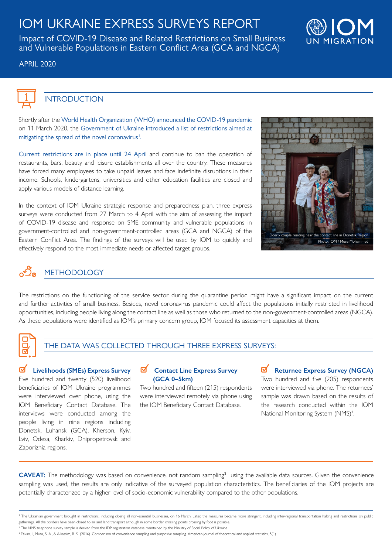# IOM UKRAINE EXPRESS SURVEYS REPORT

Impact of COVID-19 Disease and Related Restrictions on Small Business and Vulnerable Populations in Eastern Conflict Area (GCA and NGCA)



### APRIL 2020

### INTRODUCTION

Shortly after the World Health Organization (WHO) announced the COVID-19 pandemic on 11 March 2020, the Government of Ukraine introduced a list of restrictions aimed at mitigating the spread of the novel coronavirus<sup>1</sup>. .

Current restrictions are in place until 24 April and continue to ban the operation of restaurants, bars, beauty and leisure establishments all over the country. These measures have forced many employees to take unpaid leaves and face indefinite disruptions in their income. Schools, kindergartens, universities and other education facilities are closed and apply various models of distance learning.

In the context of IOM Ukraine strategic response and preparedness plan, three express surveys were conducted from 27 March to 4 April with the aim of assessing the impact of COVID-19 disease and response on SME community and vulnerable populations in government-controlled and non-government-controlled areas (GCA and NGCA) of the Eastern Conflict Area. The findings of the surveys will be used by IOM to quickly and effectively respond to the most immediate needs or affected target groups.



## **METHODOLOGY**

The restrictions on the functioning of the service sector during the quarantine period might have a significant impact on the current and further activities of small business. Besides, novel coronavirus pandemic could affect the populations initially restricted in livelihood opportunities, including people living along the contact line as well as those who returned to the non-government-controlled areas (NGCA). As these populations were identified as IOM's primary concern group, IOM focused its assessment capacities at them.



### THE DATA WAS COLLECTED THROUGH THREE EXPRESS SURVEYS:

☑ **Livelihoods (SMEs) Express Survey** Five hundred and twenty (520) livelihood beneficiaries of IOM Ukraine programmes were interviewed over phone, using the IOM Beneficiary Contact Database. The interviews were conducted among the people living in nine regions including Donetsk, Luhansk (GCA), Kherson, Kyiv, Lviv, Odesa, Kharkiv, Dnipropetrovsk and Zaporizhia regions.

### ष **Contact Line Express Survey (GCA 0–5km)**

Two hundred and fifteen (215) respondents were interviewed remotely via phone using the IOM Beneficiary Contact Database.

**Returnee Express Survey (NGCA)** Two hundred and five (205) respondents were interviewed via phone. The returnees' sample was drawn based on the results of the research conducted within the IOM National Monitoring System (NMS)<sup>2</sup>.

CAVEAT: The methodology was based on convenience, not random sampling<sup>3</sup> using the available data sources. Given the convenience sampling was used, the results are only indicative of the surveyed population characteristics. The beneficiaries of the IOM projects are potentially characterized by a higher level of socio-economic vulnerability compared to the other populations.

<sup>1</sup> The Ukrainian government brought in restrictions, including closing all non-essential businesses, on 16 March. Later, the measures became more stringent, including inter-regional transportation halting and restrictions o gatherings. All the borders have been closed to air and land transport although in some border crossing points crossing by foot is possible.

<sup>&</sup>lt;sup>2</sup> The NMS telephone survey sample is derived from the IDP registration database maintained by the Ministry of Social Policy of Ukraine.

<sup>&</sup>lt;sup>3</sup> Etikan, I., Musa, S. A., & Alkassim, R. S. (2016). Comparison of convenience sampling and purposive sampling. American journal of theoretical and applied statistics, 5(1).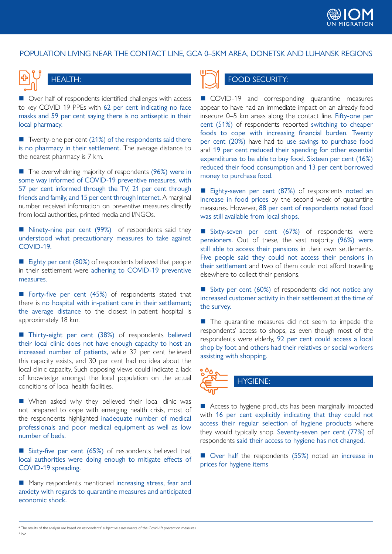### POPULATION LIVING NEAR THE CONTACT LINE, GCA 0–5KM AREA, DONETSK AND LUHANSK REGIONS



■ Over half of respondents identified challenges with access to key COVID-19 PPEs with 62 per cent indicating no face masks and 59 per cent saying there is no antiseptic in their local pharmacy.

 $\blacksquare$  Twenty-one per cent (21%) of the respondents said there is no pharmacy in their settlement. The average distance to the nearest pharmacy is 7 km.

 $\blacksquare$  The overwhelming majority of respondents (96%) were in some way informed of COVID-19 preventive measures, with 57 per cent informed through the TV, 21 per cent through friends and family, and 15 per cent through Internet. A marginal number received information on preventive measures directly from local authorities, printed media and I/NGOs.

Ninety-nine per cent (99%) of respondents said they understood what precautionary measures to take against COVID-19.

■ Eighty per cent (80%) of respondents believed that people in their settlement were adhering to COVID-19 preventive measures.

Forty-five per cent (45%) of respondents stated that there is no hospital with in-patient care in their settlement; the average distance to the closest in-patient hospital is approximately 18 km.

■ Thirty-eight per cent (38%) of respondents believed their local clinic does not have enough capacity to host an increased number of patients, while 32 per cent believed this capacity exists, and 30 per cent had no idea about the local clinic capacity. Such opposing views could indicate a lack of knowledge amongst the local population on the actual conditions of local health facilities.

When asked why they believed their local clinic was not prepared to cope with emerging health crisis, most of the respondents highlighted inadequate number of medical professionals and poor medical equipment as well as low number of beds.

Sixty-five per cent (65%) of respondents believed that local authorities were doing enough to mitigate effects of COVID-19 spreading.

**Many respondents mentioned increasing stress, fear and** anxiety with regards to quarantine measures and anticipated economic shock.



### HEALTH: FOOD SECURITY:

COVID-19 and corresponding quarantine measures appear to have had an immediate impact on an already food insecure 0–5 km areas along the contact line. Fifty-one per cent (51%) of respondents reported switching to cheaper foods to cope with increasing financial burden. Twenty per cent (20%) have had to use savings to purchase food and 19 per cent reduced their spending for other essential expenditures to be able to buy food. Sixteen per cent (16%) reduced their food consumption and 13 per cent borrowed money to purchase food.

Eighty-seven per cent (87%) of respondents noted an increase in food prices by the second week of quarantine measures. However, 88 per cent of respondents noted food was still available from local shops.

Sixty-seven per cent (67%) of respondents were pensioners. Out of these, the vast majority (96%) were still able to access their pensions in their own settlements. Five people said they could not access their pensions in their settlement and two of them could not afford travelling elsewhere to collect their pensions.

Sixty per cent (60%) of respondents did not notice any increased customer activity in their settlement at the time of the survey.

■ The quarantine measures did not seem to impede the respondents' access to shops, as even though most of the respondents were elderly, 92 per cent could access a local shop by foot and others had their relatives or social workers assisting with shopping.



HYGIENE:

Access to hygiene products has been marginally impacted with 16 per cent explicitly indicating that they could not access their regular selection of hygiene products where they would typically shop. Seventy-seven per cent (77%) of respondents said their access to hygiene has not changed.

■ Over half the respondents (55%) noted an increase in prices for hygiene items

5 Ibid

<sup>4</sup> The results of the analysis are based on respondents' subjective assessments of the Covid-19 prevention measures.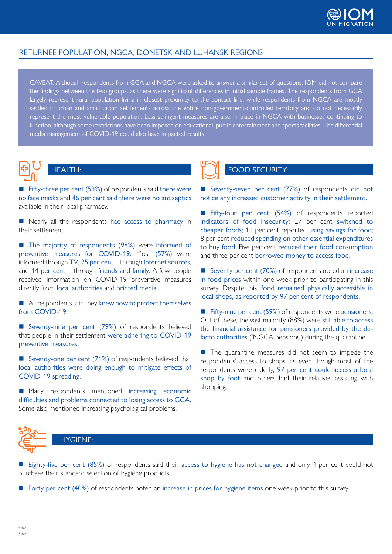### RETURNEE POPULATION, NGCA, DONETSK AND LUHANSK REGIONS

CAVEAT: Although respondents from GCA and NGCA were asked to answer a similar set of questions, IOM did not compare the findings between the two groups, as there were significant differences in initial sample frames. The respondents from GCA largely represent rural population living in closest proximity to the contact line, while respondents from NGCA are mostly settled in urban and small urban settlements across the entire non-government-controlled territory and do not necessarily represent the most vulnerable population. Less stringent measures are also in place in NGCA with businesses continuing to function, although some restrictions have been imposed on educational, public entertainment and sports facilities. The differential media management of COVID-19 could also have impacted results.



Fifty-three per cent  $(53%)$  of respondents said there were no face masks and 46 per cent said there were no antiseptics available in their local pharmacy.

Nearly all the respondents had access to pharmacy in their settlement.

■ The majority of respondents (98%) were informed of preventive measures for COVID-19. Most (57%) were informed through TV, 25 per cent – through Internet sources, and 14 per cent – through friends and family. A few people received information on COVID-19 preventive measures directly from local authorities and printed media.

All respondents said they knew how to protect themselves from COVID-19.

Seventy-nine per cent (79%) of respondents believed that people in their settlement were adhering to COVID-19 preventive measures.

Seventy-one per cent (71%) of respondents believed that local authorities were doing enough to mitigate effects of COVID-19 spreading.

**Many respondents mentioned increasing economic** difficulties and problems connected to losing access to GCA. Some also mentioned increasing psychological problems.



### HEALTH: FOOD SECURITY:

Seventy-seven per cent (77%) of respondents did not notice any increased customer activity in their settlement.

Fifty-four per cent (54%) of respondents reported indicators of food insecurity: 27 per cent switched to cheaper foods; 11 per cent reported using savings for food; 8 per cent reduced spending on other essential expenditures to buy food. Five per cent reduced their food consumption and three per cent borrowed money to access food.

Seventy per cent (70%) of respondents noted an increase in food prices within one week prior to participating in this survey. Despite this, food remained physically accessible in local shops, as reported by 97 per cent of respondents.

Fifty-nine per cent (59%) of respondents were pensioners. Out of these, the vast majority (88%) were still able to access the financial assistance for pensioners provided by the defacto authorities ('NGCA pensions') during the quarantine.

 $\blacksquare$  The quarantine measures did not seem to impede the respondents' access to shops, as even though most of the respondents were elderly, 97 per cent could access a local shop by foot and others had their relatives assisting with shopping.



### HYGIENE:

 Eighty-five per cent (85%) of respondents said their access to hygiene has not changed and only 4 per cent could not purchase their standard selection of hygiene products.

Forty per cent (40%) of respondents noted an increase in prices for hygiene items one week prior to this survey.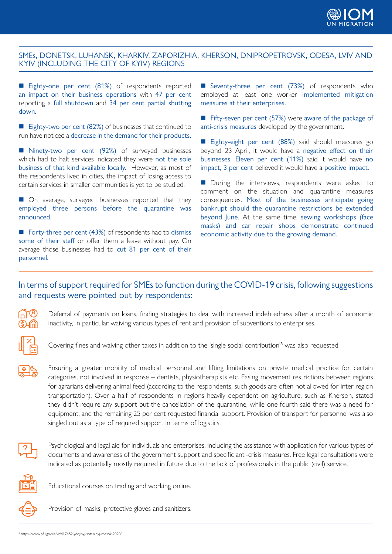

### SMEs, DONETSK, LUHANSK, KHARKIV, ZAPORIZHIA, KHERSON, DNIPROPETROVSK, ODESA, LVIV AND KYIV (INCLUDING THE CITY OF KYIV) REGIONS

Eighty-one per cent (81%) of respondents reported an impact on their business operations with 47 per cent reporting a full shutdown and 34 per cent partial shutting down.

■ Eighty-two per cent (82%) of businesses that continued to run have noticed a decrease in the demand for their products.

Ninety-two per cent (92%) of surveyed businesses which had to halt services indicated they were not the sole business of that kind available locally. However, as most of the respondents lived in cities, the impact of losing access to certain services in smaller communities is yet to be studied.

■ On average, surveyed businesses reported that they employed three persons before the quarantine was announced.

Forty-three per cent (43%) of respondents had to dismiss some of their staff or offer them a leave without pay. On average those businesses had to cut 81 per cent of their personnel.

Seventy-three per cent (73%) of respondents who employed at least one worker implemented mitigation measures at their enterprises.

Fifty-seven per cent  $(57%)$  were aware of the package of anti-crisis measures developed by the government.

Eighty-eight per cent (88%) said should measures go beyond 23 April, it would have a negative effect on their businesses. Eleven per cent (11%) said it would have no impact, 3 per cent believed it would have a positive impact.

During the interviews, respondents were asked to comment on the situation and quarantine measures consequences. Most of the businesses anticipate going bankrupt should the quarantine restrictions be extended beyond June. At the same time, sewing workshops (face masks) and car repair shops demonstrate continued economic activity due to the growing demand.

### In terms of support required for SMEs to function during the COVID-19 crisis, following suggestions and requests were pointed out by respondents:



Deferral of payments on loans, finding strategies to deal with increased indebtedness after a month of economic inactivity, in particular waiving various types of rent and provision of subventions to enterprises.



Covering fines and waiving other taxes in addition to the 'single social contribution'<sup>8</sup> was also requested.

Ensuring a greater mobility of medical personnel and lifting limitations on private medical practice for certain categories, not involved in response – dentists, physiotherapists etc. Easing movement restrictions between regions for agrarians delivering animal feed (according to the respondents, such goods are often not allowed for inter-region transportation). Over a half of respondents in regions heavily dependent on agriculture, such as Kherson, stated they didn't require any support but the cancellation of the quarantine, while one fourth said there was a need for equipment, and the remaining 25 per cent requested financial support. Provision of transport for personnel was also singled out as a type of required support in terms of logistics.



Psychological and legal aid for individuals and enterprises, including the assistance with application for various types of documents and awareness of the government support and specific anti-crisis measures. Free legal consultations were indicated as potentially mostly required in future due to the lack of professionals in the public (civil) service.



Educational courses on trading and working online.

Provision of masks, protective gloves and sanitizers.